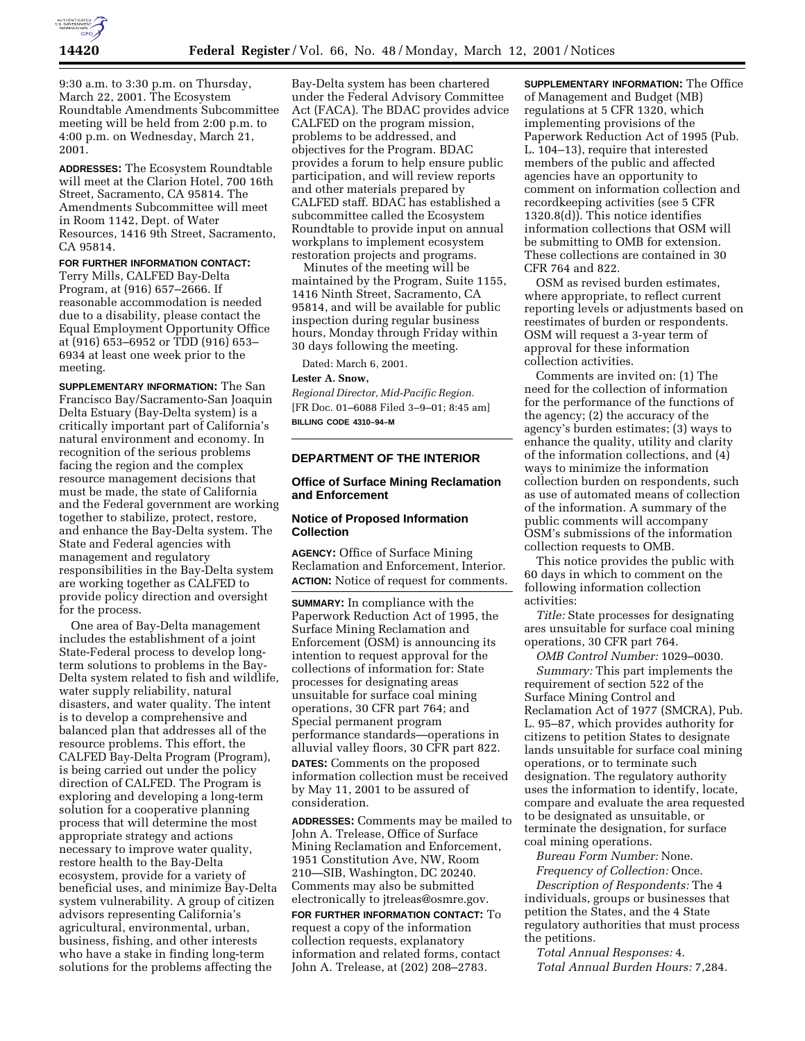

9:30 a.m. to 3:30 p.m. on Thursday, March 22, 2001. The Ecosystem Roundtable Amendments Subcommittee meeting will be held from 2:00 p.m. to 4:00 p.m. on Wednesday, March 21, 2001.

**ADDRESSES:** The Ecosystem Roundtable will meet at the Clarion Hotel, 700 16th Street, Sacramento, CA 95814. The Amendments Subcommittee will meet in Room 1142, Dept. of Water Resources, 1416 9th Street, Sacramento, CA 95814.

#### **FOR FURTHER INFORMATION CONTACT:**

Terry Mills, CALFED Bay-Delta Program, at (916) 657–2666. If reasonable accommodation is needed due to a disability, please contact the Equal Employment Opportunity Office at (916) 653–6952 or TDD (916) 653– 6934 at least one week prior to the meeting.

**SUPPLEMENTARY INFORMATION:** The San Francisco Bay/Sacramento-San Joaquin Delta Estuary (Bay-Delta system) is a critically important part of California's natural environment and economy. In recognition of the serious problems facing the region and the complex resource management decisions that must be made, the state of California and the Federal government are working together to stabilize, protect, restore, and enhance the Bay-Delta system. The State and Federal agencies with management and regulatory responsibilities in the Bay-Delta system are working together as CALFED to provide policy direction and oversight for the process.

One area of Bay-Delta management includes the establishment of a joint State-Federal process to develop longterm solutions to problems in the Bay-Delta system related to fish and wildlife, water supply reliability, natural disasters, and water quality. The intent is to develop a comprehensive and balanced plan that addresses all of the resource problems. This effort, the CALFED Bay-Delta Program (Program), is being carried out under the policy direction of CALFED. The Program is exploring and developing a long-term solution for a cooperative planning process that will determine the most appropriate strategy and actions necessary to improve water quality, restore health to the Bay-Delta ecosystem, provide for a variety of beneficial uses, and minimize Bay-Delta system vulnerability. A group of citizen advisors representing California's agricultural, environmental, urban, business, fishing, and other interests who have a stake in finding long-term solutions for the problems affecting the

Bay-Delta system has been chartered under the Federal Advisory Committee Act (FACA). The BDAC provides advice CALFED on the program mission, problems to be addressed, and objectives for the Program. BDAC provides a forum to help ensure public participation, and will review reports and other materials prepared by CALFED staff. BDAC has established a subcommittee called the Ecosystem Roundtable to provide input on annual workplans to implement ecosystem restoration projects and programs.

Minutes of the meeting will be maintained by the Program, Suite 1155, 1416 Ninth Street, Sacramento, CA 95814, and will be available for public inspection during regular business hours, Monday through Friday within 30 days following the meeting.

Dated: March 6, 2001.

#### **Lester A. Snow,**

*Regional Director, Mid-Pacific Region.* [FR Doc. 01–6088 Filed 3–9–01; 8:45 am] **BILLING CODE 4310–94–M**

### **DEPARTMENT OF THE INTERIOR**

# **Office of Surface Mining Reclamation and Enforcement**

### **Notice of Proposed Information Collection**

**AGENCY:** Office of Surface Mining Reclamation and Enforcement, Interior. **ACTION:** Notice of request for comments.

**SUMMARY:** In compliance with the Paperwork Reduction Act of 1995, the Surface Mining Reclamation and Enforcement (OSM) is announcing its intention to request approval for the collections of information for: State processes for designating areas unsuitable for surface coal mining operations, 30 CFR part 764; and Special permanent program performance standards—operations in alluvial valley floors, 30 CFR part 822. **DATES:** Comments on the proposed information collection must be received by May 11, 2001 to be assured of consideration.

**ADDRESSES:** Comments may be mailed to John A. Trelease, Office of Surface Mining Reclamation and Enforcement, 1951 Constitution Ave, NW, Room 210—SIB, Washington, DC 20240. Comments may also be submitted electronically to jtreleas@osmre.gov.

**FOR FURTHER INFORMATION CONTACT:** To request a copy of the information collection requests, explanatory information and related forms, contact John A. Trelease, at (202) 208–2783.

**SUPPLEMENTARY INFORMATION:** The Office of Management and Budget (MB) regulations at 5 CFR 1320, which implementing provisions of the Paperwork Reduction Act of 1995 (Pub. L. 104–13), require that interested members of the public and affected agencies have an opportunity to comment on information collection and recordkeeping activities (see 5 CFR 1320.8(d)). This notice identifies information collections that OSM will be submitting to OMB for extension. These collections are contained in 30 CFR 764 and 822.

OSM as revised burden estimates, where appropriate, to reflect current reporting levels or adjustments based on reestimates of burden or respondents. OSM will request a 3-year term of approval for these information collection activities.

Comments are invited on: (1) The need for the collection of information for the performance of the functions of the agency; (2) the accuracy of the agency's burden estimates; (3) ways to enhance the quality, utility and clarity of the information collections, and (4) ways to minimize the information collection burden on respondents, such as use of automated means of collection of the information. A summary of the public comments will accompany OSM's submissions of the information collection requests to OMB.

This notice provides the public with 60 days in which to comment on the following information collection activities:

*Title:* State processes for designating ares unsuitable for surface coal mining operations, 30 CFR part 764.

*OMB Control Number:* 1029–0030.

*Summary:* This part implements the requirement of section 522 of the Surface Mining Control and Reclamation Act of 1977 (SMCRA), Pub. L. 95–87, which provides authority for citizens to petition States to designate lands unsuitable for surface coal mining operations, or to terminate such designation. The regulatory authority uses the information to identify, locate, compare and evaluate the area requested to be designated as unsuitable, or terminate the designation, for surface coal mining operations.

*Bureau Form Number:* None.

*Frequency of Collection:* Once.

*Description of Respondents:* The 4 individuals, groups or businesses that petition the States, and the 4 State regulatory authorities that must process the petitions.

*Total Annual Responses:* 4. *Total Annual Burden Hours:* 7,284.